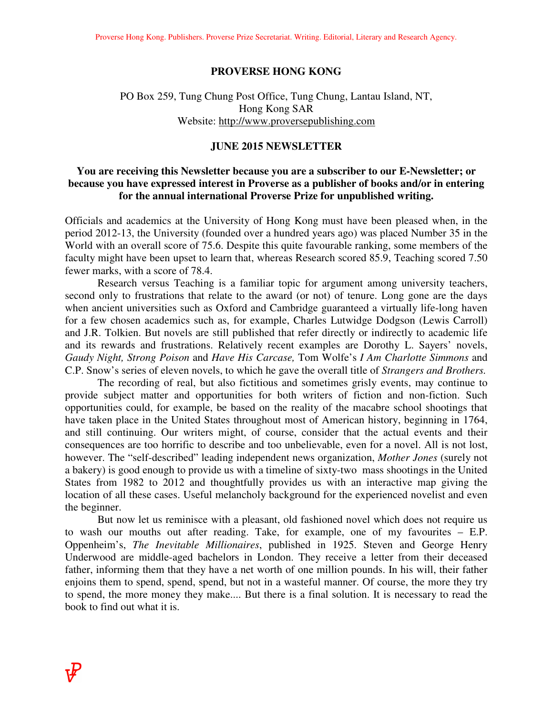#### **PROVERSE HONG KONG**

### PO Box 259, Tung Chung Post Office, Tung Chung, Lantau Island, NT, Hong Kong SAR Website: http://www.proversepublishing.com

#### **JUNE 2015 NEWSLETTER**

### **You are receiving this Newsletter because you are a subscriber to our E-Newsletter; or because you have expressed interest in Proverse as a publisher of books and/or in entering for the annual international Proverse Prize for unpublished writing.**

Officials and academics at the University of Hong Kong must have been pleased when, in the period 2012-13, the University (founded over a hundred years ago) was placed Number 35 in the World with an overall score of 75.6. Despite this quite favourable ranking, some members of the faculty might have been upset to learn that, whereas Research scored 85.9, Teaching scored 7.50 fewer marks, with a score of 78.4.

 Research versus Teaching is a familiar topic for argument among university teachers, second only to frustrations that relate to the award (or not) of tenure. Long gone are the days when ancient universities such as Oxford and Cambridge guaranteed a virtually life-long haven for a few chosen academics such as, for example, Charles Lutwidge Dodgson (Lewis Carroll) and J.R. Tolkien. But novels are still published that refer directly or indirectly to academic life and its rewards and frustrations. Relatively recent examples are Dorothy L. Sayers' novels, *Gaudy Night, Strong Poison* and *Have His Carcase,* Tom Wolfe's *I Am Charlotte Simmons* and C.P. Snow's series of eleven novels, to which he gave the overall title of *Strangers and Brothers.* 

 The recording of real, but also fictitious and sometimes grisly events, may continue to provide subject matter and opportunities for both writers of fiction and non-fiction. Such opportunities could, for example, be based on the reality of the macabre school shootings that have taken place in the United States throughout most of American history, beginning in 1764, and still continuing. Our writers might, of course, consider that the actual events and their consequences are too horrific to describe and too unbelievable, even for a novel. All is not lost, however. The "self-described" leading independent news organization, *Mother Jones* (surely not a bakery) is good enough to provide us with a timeline of sixty-two mass shootings in the United States from 1982 to 2012 and thoughtfully provides us with an interactive map giving the location of all these cases. Useful melancholy background for the experienced novelist and even the beginner.

 But now let us reminisce with a pleasant, old fashioned novel which does not require us to wash our mouths out after reading. Take, for example, one of my favourites – E.P. Oppenheim's, *The Inevitable Millionaires*, published in 1925. Steven and George Henry Underwood are middle-aged bachelors in London. They receive a letter from their deceased father, informing them that they have a net worth of one million pounds. In his will, their father enjoins them to spend, spend, spend, but not in a wasteful manner. Of course, the more they try to spend, the more money they make.... But there is a final solution. It is necessary to read the book to find out what it is.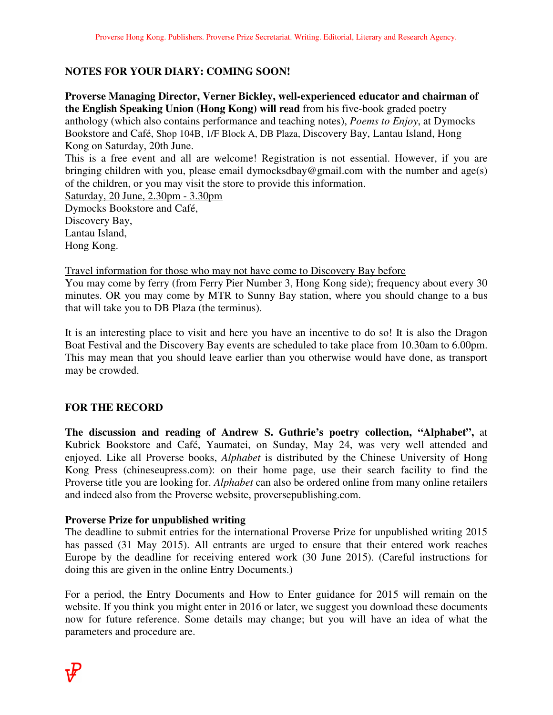# **NOTES FOR YOUR DIARY: COMING SOON!**

**Proverse Managing Director, Verner Bickley, well-experienced educator and chairman of the English Speaking Union (Hong Kong) will read** from his five-book graded poetry anthology (which also contains performance and teaching notes), *Poems to Enjoy*, at Dymocks Bookstore and Café, Shop 104B, 1/F Block A, DB Plaza, Discovery Bay, Lantau Island, Hong Kong on Saturday, 20th June. This is a free event and all are welcome! Registration is not essential. However, if you are bringing children with you, please email dymocksdbay@gmail.com with the number and age(s) of the children, or you may visit the store to provide this information. Saturday, 20 June, 2.30pm - 3.30pm Dymocks Bookstore and Café, Discovery Bay, Lantau Island, Hong Kong.

Travel information for those who may not have come to Discovery Bay before

You may come by ferry (from Ferry Pier Number 3, Hong Kong side); frequency about every 30 minutes. OR you may come by MTR to Sunny Bay station, where you should change to a bus that will take you to DB Plaza (the terminus).

It is an interesting place to visit and here you have an incentive to do so! It is also the Dragon Boat Festival and the Discovery Bay events are scheduled to take place from 10.30am to 6.00pm. This may mean that you should leave earlier than you otherwise would have done, as transport may be crowded.

## **FOR THE RECORD**

**The discussion and reading of Andrew S. Guthrie's poetry collection, "Alphabet",** at Kubrick Bookstore and Café, Yaumatei, on Sunday, May 24, was very well attended and enjoyed. Like all Proverse books, *Alphabet* is distributed by the Chinese University of Hong Kong Press (chineseupress.com): on their home page, use their search facility to find the Proverse title you are looking for. *Alphabet* can also be ordered online from many online retailers and indeed also from the Proverse website, proversepublishing.com.

### **Proverse Prize for unpublished writing**

The deadline to submit entries for the international Proverse Prize for unpublished writing 2015 has passed (31 May 2015). All entrants are urged to ensure that their entered work reaches Europe by the deadline for receiving entered work (30 June 2015). (Careful instructions for doing this are given in the online Entry Documents.)

For a period, the Entry Documents and How to Enter guidance for 2015 will remain on the website. If you think you might enter in 2016 or later, we suggest you download these documents now for future reference. Some details may change; but you will have an idea of what the parameters and procedure are.